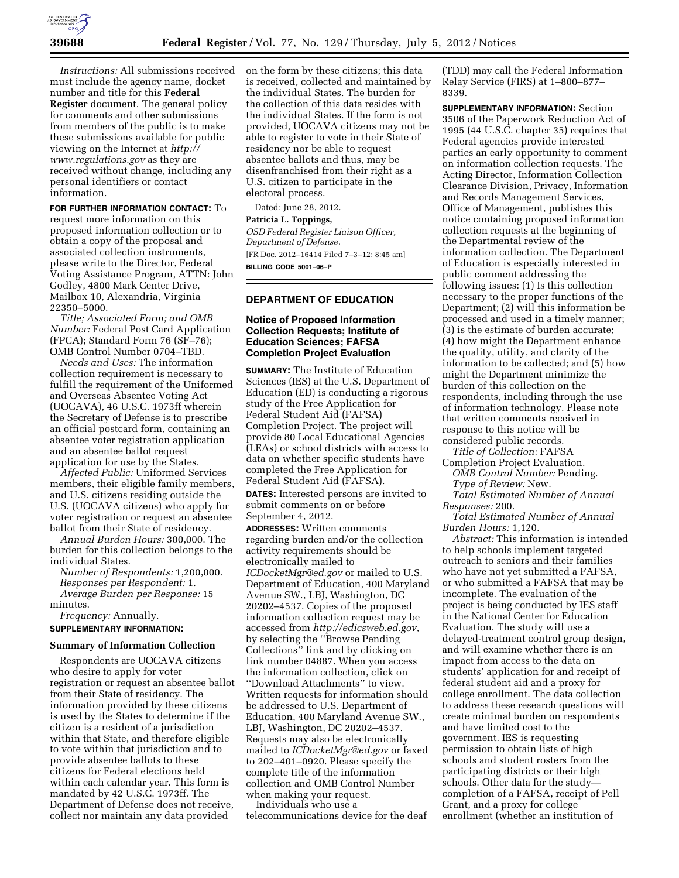

*Instructions:* All submissions received must include the agency name, docket number and title for this **Federal Register** document. The general policy for comments and other submissions from members of the public is to make these submissions available for public viewing on the Internet at *[http://](http://www.regulations.gov) [www.regulations.gov](http://www.regulations.gov)* as they are received without change, including any personal identifiers or contact information.

**FOR FURTHER INFORMATION CONTACT:** To request more information on this proposed information collection or to obtain a copy of the proposal and associated collection instruments,

please write to the Director, Federal Voting Assistance Program, ATTN: John Godley, 4800 Mark Center Drive, Mailbox 10, Alexandria, Virginia 22350–5000.

*Title; Associated Form; and OMB Number:* Federal Post Card Application (FPCA); Standard Form 76 (SF–76); OMB Control Number 0704–TBD.

*Needs and Uses:* The information collection requirement is necessary to fulfill the requirement of the Uniformed and Overseas Absentee Voting Act (UOCAVA), 46 U.S.C. 1973ff wherein the Secretary of Defense is to prescribe an official postcard form, containing an absentee voter registration application and an absentee ballot request application for use by the States.

*Affected Public:* Uniformed Services members, their eligible family members, and U.S. citizens residing outside the U.S. (UOCAVA citizens) who apply for voter registration or request an absentee ballot from their State of residency.

*Annual Burden Hours:* 300,000. The burden for this collection belongs to the individual States.

*Number of Respondents:* 1,200,000. *Responses per Respondent:* 1. *Average Burden per Response:* 15 minutes.

*Frequency:* Annually. **SUPPLEMENTARY INFORMATION:** 

#### **Summary of Information Collection**

Respondents are UOCAVA citizens who desire to apply for voter registration or request an absentee ballot from their State of residency. The information provided by these citizens is used by the States to determine if the citizen is a resident of a jurisdiction within that State, and therefore eligible to vote within that jurisdiction and to provide absentee ballots to these citizens for Federal elections held within each calendar year. This form is mandated by 42 U.S.C. 1973ff. The Department of Defense does not receive, collect nor maintain any data provided

on the form by these citizens; this data is received, collected and maintained by the individual States. The burden for the collection of this data resides with the individual States. If the form is not provided, UOCAVA citizens may not be able to register to vote in their State of residency nor be able to request absentee ballots and thus, may be disenfranchised from their right as a U.S. citizen to participate in the electoral process.

Dated: June 28, 2012.

### **Patricia L. Toppings,**  *OSD Federal Register Liaison Officer, Department of Defense.*

[FR Doc. 2012–16414 Filed 7–3–12; 8:45 am] **BILLING CODE 5001–06–P** 

# **DEPARTMENT OF EDUCATION**

### **Notice of Proposed Information Collection Requests; Institute of Education Sciences; FAFSA Completion Project Evaluation**

**SUMMARY:** The Institute of Education Sciences (IES) at the U.S. Department of Education (ED) is conducting a rigorous study of the Free Application for Federal Student Aid (FAFSA) Completion Project. The project will provide 80 Local Educational Agencies (LEAs) or school districts with access to data on whether specific students have completed the Free Application for Federal Student Aid (FAFSA).

**DATES:** Interested persons are invited to submit comments on or before September 4, 2012.

**ADDRESSES:** Written comments regarding burden and/or the collection activity requirements should be electronically mailed to *[ICDocketMgr@ed.gov](mailto:ICDocketMgr@ed.gov)* or mailed to U.S. Department of Education, 400 Maryland Avenue SW., LBJ, Washington, DC 20202–4537. Copies of the proposed information collection request may be accessed from *[http://edicsweb.ed.gov,](http://edicsweb.ed.gov)*  by selecting the ''Browse Pending Collections'' link and by clicking on link number 04887. When you access the information collection, click on ''Download Attachments'' to view. Written requests for information should be addressed to U.S. Department of Education, 400 Maryland Avenue SW., LBJ, Washington, DC 20202–4537. Requests may also be electronically mailed to *[ICDocketMgr@ed.gov](mailto:ICDocketMgr@ed.gov)* or faxed to 202–401–0920. Please specify the complete title of the information collection and OMB Control Number when making your request.

Individuals who use a telecommunications device for the deaf

(TDD) may call the Federal Information Relay Service (FIRS) at 1–800–877– 8339.

**SUPPLEMENTARY INFORMATION:** Section 3506 of the Paperwork Reduction Act of 1995 (44 U.S.C. chapter 35) requires that Federal agencies provide interested parties an early opportunity to comment on information collection requests. The Acting Director, Information Collection Clearance Division, Privacy, Information and Records Management Services, Office of Management, publishes this notice containing proposed information collection requests at the beginning of the Departmental review of the information collection. The Department of Education is especially interested in public comment addressing the following issues: (1) Is this collection necessary to the proper functions of the Department; (2) will this information be processed and used in a timely manner; (3) is the estimate of burden accurate; (4) how might the Department enhance the quality, utility, and clarity of the information to be collected; and (5) how might the Department minimize the burden of this collection on the respondents, including through the use of information technology. Please note that written comments received in response to this notice will be considered public records.

*Title of Collection:* FAFSA

Completion Project Evaluation. *OMB Control Number:* Pending. *Type of Review:* New. *Total Estimated Number of Annual* 

*Responses:* 200.

*Total Estimated Number of Annual Burden Hours:* 1,120.

*Abstract:* This information is intended to help schools implement targeted outreach to seniors and their families who have not yet submitted a FAFSA, or who submitted a FAFSA that may be incomplete. The evaluation of the project is being conducted by IES staff in the National Center for Education Evaluation. The study will use a delayed-treatment control group design, and will examine whether there is an impact from access to the data on students' application for and receipt of federal student aid and a proxy for college enrollment. The data collection to address these research questions will create minimal burden on respondents and have limited cost to the government. IES is requesting permission to obtain lists of high schools and student rosters from the participating districts or their high schools. Other data for the study completion of a FAFSA, receipt of Pell Grant, and a proxy for college enrollment (whether an institution of